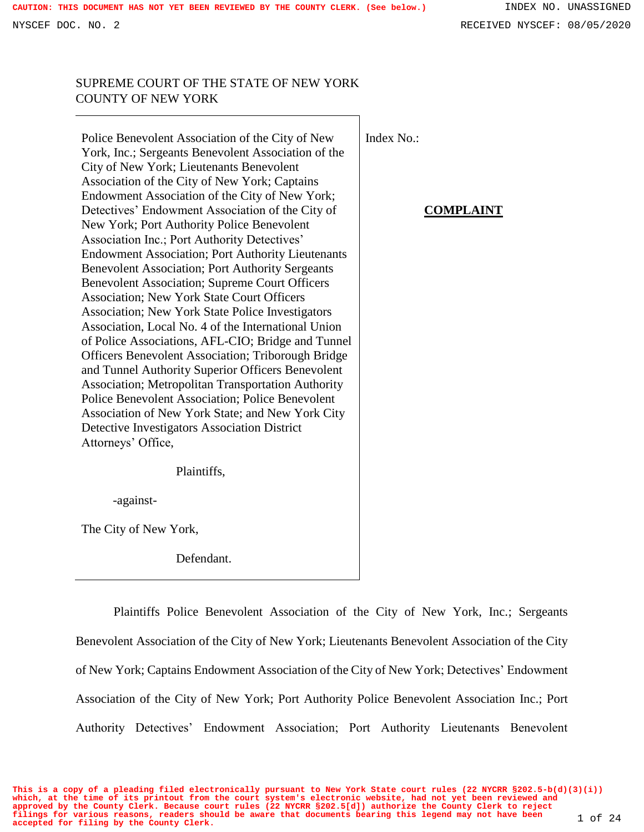## SUPREME COURT OF THE STATE OF NEW YORK COUNTY OF NEW YORK

Police Benevolent Association of the City of New York, Inc.; Sergeants Benevolent Association of the City of New York; Lieutenants Benevolent Association of the City of New York; Captains Endowment Association of the City of New York; Detectives' Endowment Association of the City of New York; Port Authority Police Benevolent Association Inc.; Port Authority Detectives' Endowment Association; Port Authority Lieutenants Benevolent Association; Port Authority Sergeants Benevolent Association; Supreme Court Officers Association; New York State Court Officers Association; New York State Police Investigators Association, Local No. 4 of the International Union of Police Associations, AFL-CIO; Bridge and Tunnel Officers Benevolent Association; Triborough Bridge and Tunnel Authority Superior Officers Benevolent Association; Metropolitan Transportation Authority Police Benevolent Association; Police Benevolent Association of New York State; and New York City Detective Investigators Association District Attorneys' Office,

Plaintiffs,

-against-

The City of New York,

Defendant.

Plaintiffs Police Benevolent Association of the City of New York, Inc.; Sergeants Benevolent Association of the City of New York; Lieutenants Benevolent Association of the City of New York; Captains Endowment Association of the City of New York; Detectives' Endowment Association of the City of New York; Port Authority Police Benevolent Association Inc.; Port Authority Detectives' Endowment Association; Port Authority Lieutenants Benevolent

### **COMPLAINT**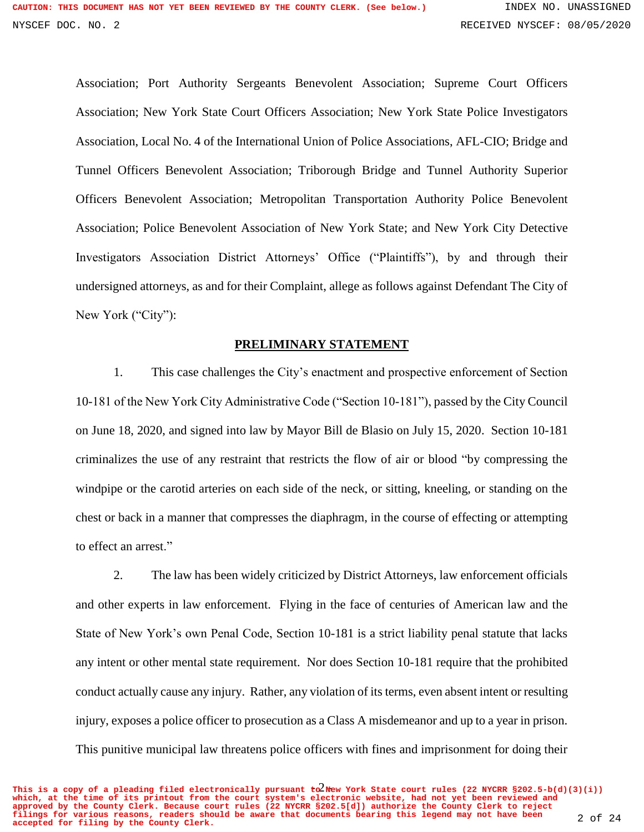Association; Port Authority Sergeants Benevolent Association; Supreme Court Officers Association; New York State Court Officers Association; New York State Police Investigators Association, Local No. 4 of the International Union of Police Associations, AFL-CIO; Bridge and Tunnel Officers Benevolent Association; Triborough Bridge and Tunnel Authority Superior Officers Benevolent Association; Metropolitan Transportation Authority Police Benevolent Association; Police Benevolent Association of New York State; and New York City Detective Investigators Association District Attorneys' Office ("Plaintiffs"), by and through their undersigned attorneys, as and for their Complaint, allege as follows against Defendant The City of New York ("City"):

#### **PRELIMINARY STATEMENT**

1. This case challenges the City's enactment and prospective enforcement of Section 10-181 of the New York City Administrative Code ("Section 10-181"), passed by the City Council on June 18, 2020, and signed into law by Mayor Bill de Blasio on July 15, 2020. Section 10-181 criminalizes the use of any restraint that restricts the flow of air or blood "by compressing the windpipe or the carotid arteries on each side of the neck, or sitting, kneeling, or standing on the chest or back in a manner that compresses the diaphragm, in the course of effecting or attempting to effect an arrest."

2. The law has been widely criticized by District Attorneys, law enforcement officials and other experts in law enforcement. Flying in the face of centuries of American law and the State of New York's own Penal Code, Section 10-181 is a strict liability penal statute that lacks any intent or other mental state requirement. Nor does Section 10-181 require that the prohibited conduct actually cause any injury. Rather, any violation of its terms, even absent intent or resulting injury, exposes a police officer to prosecution as a Class A misdemeanor and up to a year in prison. This punitive municipal law threatens police officers with fines and imprisonment for doing their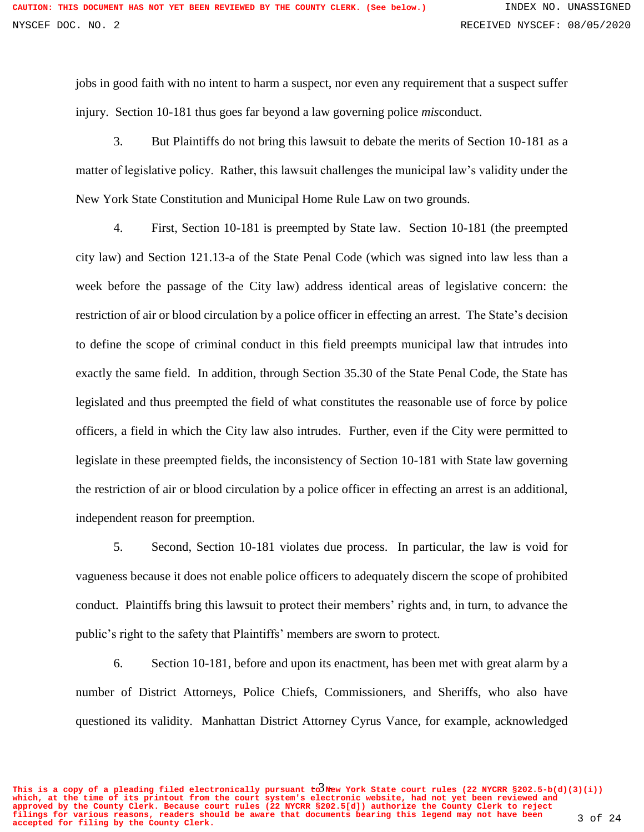jobs in good faith with no intent to harm a suspect, nor even any requirement that a suspect suffer injury. Section 10-181 thus goes far beyond a law governing police *mis*conduct.

3. But Plaintiffs do not bring this lawsuit to debate the merits of Section 10-181 as a matter of legislative policy. Rather, this lawsuit challenges the municipal law's validity under the New York State Constitution and Municipal Home Rule Law on two grounds.

4. First, Section 10-181 is preempted by State law. Section 10-181 (the preempted city law) and Section 121.13-a of the State Penal Code (which was signed into law less than a week before the passage of the City law) address identical areas of legislative concern: the restriction of air or blood circulation by a police officer in effecting an arrest. The State's decision to define the scope of criminal conduct in this field preempts municipal law that intrudes into exactly the same field. In addition, through Section 35.30 of the State Penal Code, the State has legislated and thus preempted the field of what constitutes the reasonable use of force by police officers, a field in which the City law also intrudes. Further, even if the City were permitted to legislate in these preempted fields, the inconsistency of Section 10-181 with State law governing the restriction of air or blood circulation by a police officer in effecting an arrest is an additional, independent reason for preemption.

5. Second, Section 10-181 violates due process. In particular, the law is void for vagueness because it does not enable police officers to adequately discern the scope of prohibited conduct. Plaintiffs bring this lawsuit to protect their members' rights and, in turn, to advance the public's right to the safety that Plaintiffs' members are sworn to protect.

6. Section 10-181, before and upon its enactment, has been met with great alarm by a number of District Attorneys, Police Chiefs, Commissioners, and Sheriffs, who also have questioned its validity. Manhattan District Attorney Cyrus Vance, for example, acknowledged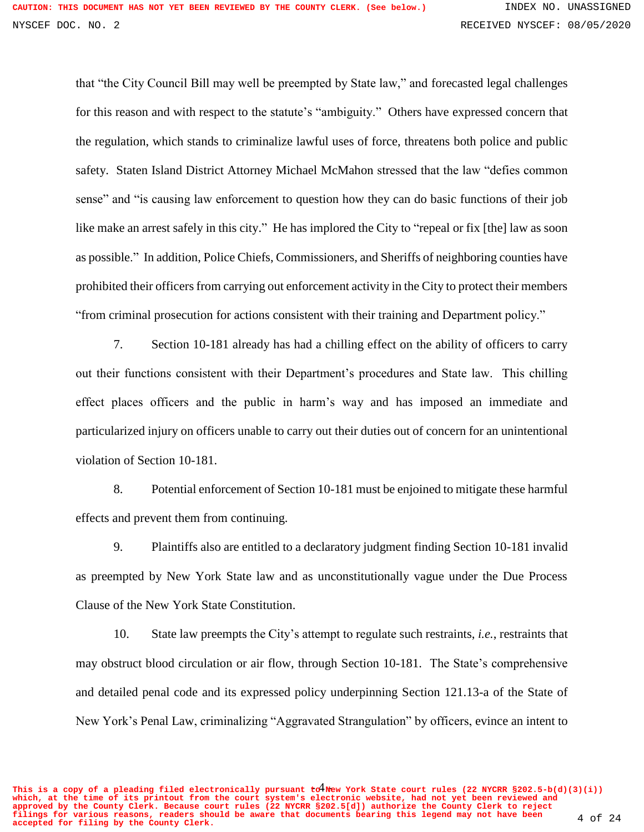that "the City Council Bill may well be preempted by State law," and forecasted legal challenges for this reason and with respect to the statute's "ambiguity." Others have expressed concern that the regulation, which stands to criminalize lawful uses of force, threatens both police and public safety. Staten Island District Attorney Michael McMahon stressed that the law "defies common sense" and "is causing law enforcement to question how they can do basic functions of their job like make an arrest safely in this city." He has implored the City to "repeal or fix [the] law as soon as possible." In addition, Police Chiefs, Commissioners, and Sheriffs of neighboring counties have prohibited their officers from carrying out enforcement activity in the City to protect their members "from criminal prosecution for actions consistent with their training and Department policy."

7. Section 10-181 already has had a chilling effect on the ability of officers to carry out their functions consistent with their Department's procedures and State law. This chilling effect places officers and the public in harm's way and has imposed an immediate and particularized injury on officers unable to carry out their duties out of concern for an unintentional violation of Section 10-181.

8. Potential enforcement of Section 10-181 must be enjoined to mitigate these harmful effects and prevent them from continuing.

9. Plaintiffs also are entitled to a declaratory judgment finding Section 10-181 invalid as preempted by New York State law and as unconstitutionally vague under the Due Process Clause of the New York State Constitution.

10. State law preempts the City's attempt to regulate such restraints, *i.e.*, restraints that may obstruct blood circulation or air flow, through Section 10-181. The State's comprehensive and detailed penal code and its expressed policy underpinning Section 121.13-a of the State of New York's Penal Law, criminalizing "Aggravated Strangulation" by officers, evince an intent to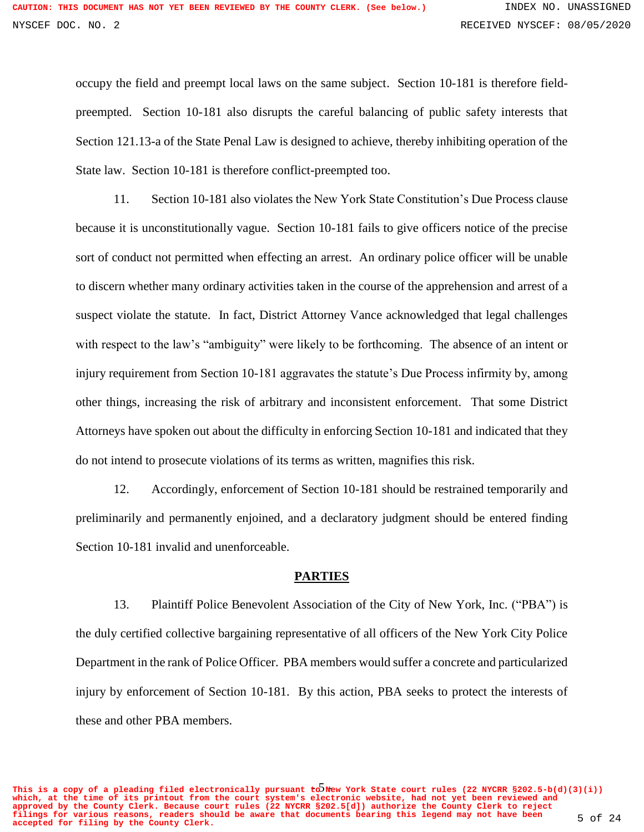occupy the field and preempt local laws on the same subject. Section 10-181 is therefore fieldpreempted. Section 10-181 also disrupts the careful balancing of public safety interests that Section 121.13-a of the State Penal Law is designed to achieve, thereby inhibiting operation of the State law. Section 10-181 is therefore conflict-preempted too.

11. Section 10-181 also violates the New York State Constitution's Due Process clause because it is unconstitutionally vague. Section 10-181 fails to give officers notice of the precise sort of conduct not permitted when effecting an arrest. An ordinary police officer will be unable to discern whether many ordinary activities taken in the course of the apprehension and arrest of a suspect violate the statute. In fact, District Attorney Vance acknowledged that legal challenges with respect to the law's "ambiguity" were likely to be forthcoming. The absence of an intent or injury requirement from Section 10-181 aggravates the statute's Due Process infirmity by, among other things, increasing the risk of arbitrary and inconsistent enforcement. That some District Attorneys have spoken out about the difficulty in enforcing Section 10-181 and indicated that they do not intend to prosecute violations of its terms as written, magnifies this risk.

12. Accordingly, enforcement of Section 10-181 should be restrained temporarily and preliminarily and permanently enjoined, and a declaratory judgment should be entered finding Section 10-181 invalid and unenforceable.

#### **PARTIES**

13. Plaintiff Police Benevolent Association of the City of New York, Inc. ("PBA") is the duly certified collective bargaining representative of all officers of the New York City Police Department in the rank of Police Officer. PBA members would suffer a concrete and particularized injury by enforcement of Section 10-181. By this action, PBA seeks to protect the interests of these and other PBA members.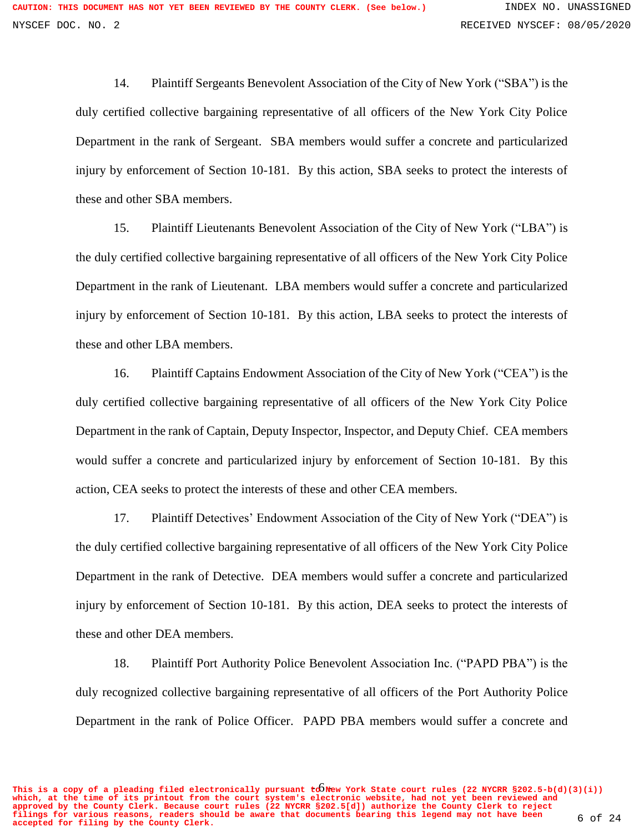14. Plaintiff Sergeants Benevolent Association of the City of New York ("SBA") is the duly certified collective bargaining representative of all officers of the New York City Police Department in the rank of Sergeant. SBA members would suffer a concrete and particularized injury by enforcement of Section 10-181. By this action, SBA seeks to protect the interests of these and other SBA members.

15. Plaintiff Lieutenants Benevolent Association of the City of New York ("LBA") is the duly certified collective bargaining representative of all officers of the New York City Police Department in the rank of Lieutenant. LBA members would suffer a concrete and particularized injury by enforcement of Section 10-181. By this action, LBA seeks to protect the interests of these and other LBA members.

16. Plaintiff Captains Endowment Association of the City of New York ("CEA") is the duly certified collective bargaining representative of all officers of the New York City Police Department in the rank of Captain, Deputy Inspector, Inspector, and Deputy Chief. CEA members would suffer a concrete and particularized injury by enforcement of Section 10-181. By this action, CEA seeks to protect the interests of these and other CEA members.

17. Plaintiff Detectives' Endowment Association of the City of New York ("DEA") is the duly certified collective bargaining representative of all officers of the New York City Police Department in the rank of Detective. DEA members would suffer a concrete and particularized injury by enforcement of Section 10-181. By this action, DEA seeks to protect the interests of these and other DEA members.

18. Plaintiff Port Authority Police Benevolent Association Inc. ("PAPD PBA") is the duly recognized collective bargaining representative of all officers of the Port Authority Police Department in the rank of Police Officer. PAPD PBA members would suffer a concrete and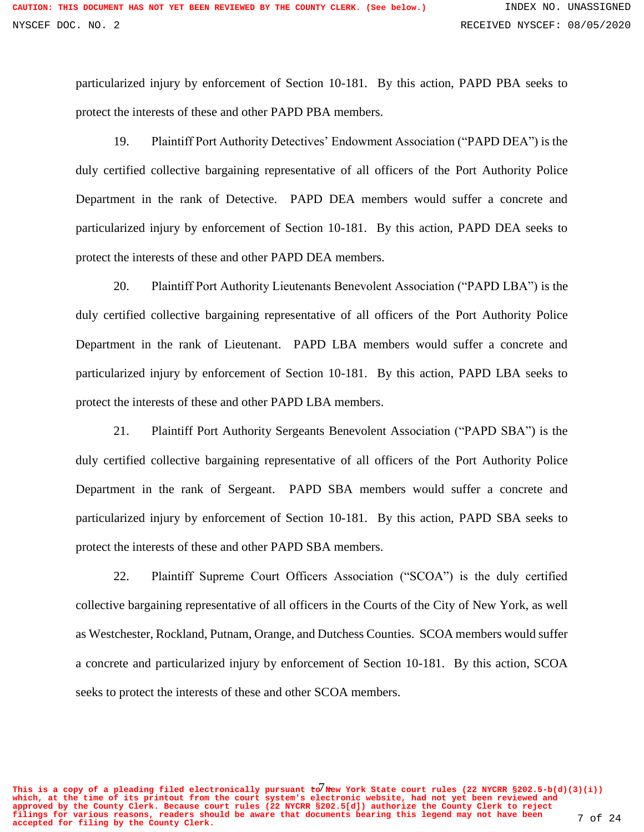particularized injury by enforcement of Section 10-181. By this action, PAPD PBA seeks to protect the interests of these and other PAPD PBA members.

19. Plaintiff Port Authority Detectives' Endowment Association ("PAPD DEA") is the duly certified collective bargaining representative of all officers of the Port Authority Police Department in the rank of Detective. PAPD DEA members would suffer a concrete and particularized injury by enforcement of Section 10-181. By this action, PAPD DEA seeks to protect the interests of these and other PAPD DEA members.

20. Plaintiff Port Authority Lieutenants Benevolent Association ("PAPD LBA") is the duly certified collective bargaining representative of all officers of the Port Authority Police Department in the rank of Lieutenant. PAPD LBA members would suffer a concrete and particularized injury by enforcement of Section 10-181. By this action, PAPD LBA seeks to protect the interests of these and other PAPD LBA members.

21. Plaintiff Port Authority Sergeants Benevolent Association ("PAPD SBA") is the duly certified collective bargaining representative of all officers of the Port Authority Police Department in the rank of Sergeant. PAPD SBA members would suffer a concrete and particularized injury by enforcement of Section 10-181. By this action, PAPD SBA seeks to protect the interests of these and other PAPD SBA members.

22. Plaintiff Supreme Court Officers Association ("SCOA") is the duly certified collective bargaining representative of all officers in the Courts of the City of New York, as well as Westchester, Rockland, Putnam, Orange, and Dutchess Counties. SCOA members would suffer a concrete and particularized injury by enforcement of Section 10-181. By this action, SCOA seeks to protect the interests of these and other SCOA members.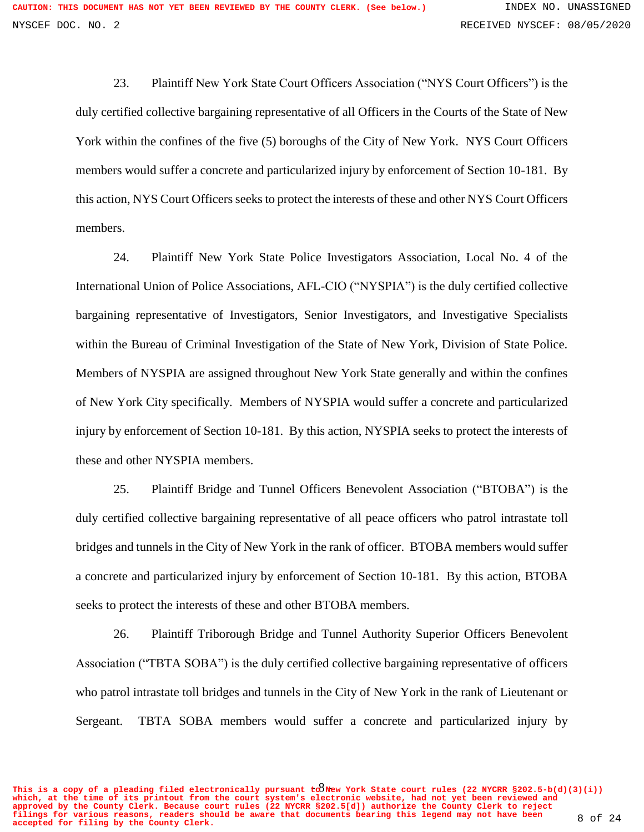23. Plaintiff New York State Court Officers Association ("NYS Court Officers") is the duly certified collective bargaining representative of all Officers in the Courts of the State of New York within the confines of the five (5) boroughs of the City of New York. NYS Court Officers members would suffer a concrete and particularized injury by enforcement of Section 10-181. By this action, NYS Court Officers seeks to protect the interests of these and other NYS Court Officers members.

24. Plaintiff New York State Police Investigators Association, Local No. 4 of the International Union of Police Associations, AFL-CIO ("NYSPIA") is the duly certified collective bargaining representative of Investigators, Senior Investigators, and Investigative Specialists within the Bureau of Criminal Investigation of the State of New York, Division of State Police. Members of NYSPIA are assigned throughout New York State generally and within the confines of New York City specifically. Members of NYSPIA would suffer a concrete and particularized injury by enforcement of Section 10-181. By this action, NYSPIA seeks to protect the interests of these and other NYSPIA members.

25. Plaintiff Bridge and Tunnel Officers Benevolent Association ("BTOBA") is the duly certified collective bargaining representative of all peace officers who patrol intrastate toll bridges and tunnels in the City of New York in the rank of officer. BTOBA members would suffer a concrete and particularized injury by enforcement of Section 10-181. By this action, BTOBA seeks to protect the interests of these and other BTOBA members.

26. Plaintiff Triborough Bridge and Tunnel Authority Superior Officers Benevolent Association ("TBTA SOBA") is the duly certified collective bargaining representative of officers who patrol intrastate toll bridges and tunnels in the City of New York in the rank of Lieutenant or Sergeant. TBTA SOBA members would suffer a concrete and particularized injury by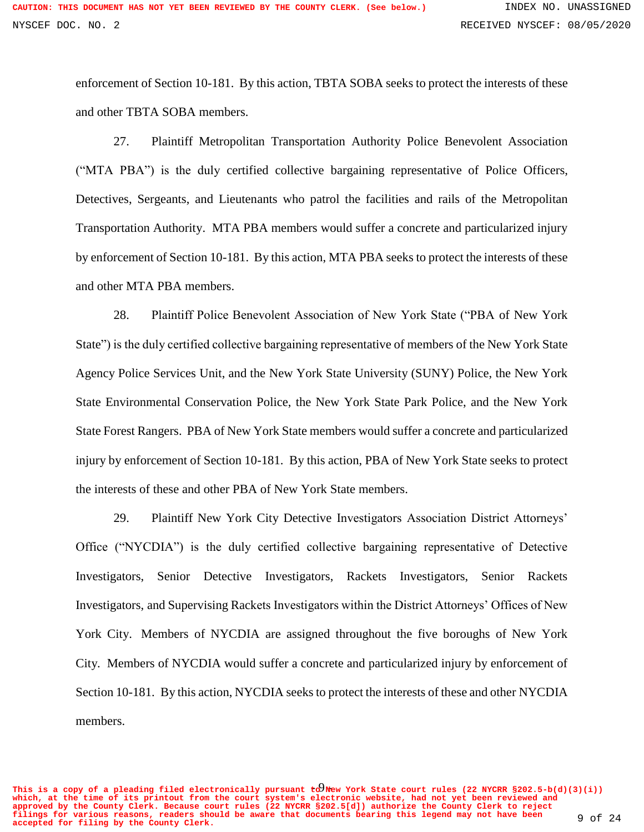enforcement of Section 10-181. By this action, TBTA SOBA seeks to protect the interests of these and other TBTA SOBA members.

27. Plaintiff Metropolitan Transportation Authority Police Benevolent Association ("MTA PBA") is the duly certified collective bargaining representative of Police Officers, Detectives, Sergeants, and Lieutenants who patrol the facilities and rails of the Metropolitan Transportation Authority. MTA PBA members would suffer a concrete and particularized injury by enforcement of Section 10-181. By this action, MTA PBA seeks to protect the interests of these and other MTA PBA members.

28. Plaintiff Police Benevolent Association of New York State ("PBA of New York State") is the duly certified collective bargaining representative of members of the New York State Agency Police Services Unit, and the New York State University (SUNY) Police, the New York State Environmental Conservation Police, the New York State Park Police, and the New York State Forest Rangers. PBA of New York State members would suffer a concrete and particularized injury by enforcement of Section 10-181. By this action, PBA of New York State seeks to protect the interests of these and other PBA of New York State members.

29. Plaintiff New York City Detective Investigators Association District Attorneys' Office ("NYCDIA") is the duly certified collective bargaining representative of Detective Investigators, Senior Detective Investigators, Rackets Investigators, Senior Rackets Investigators, and Supervising Rackets Investigators within the District Attorneys' Offices of New York City. Members of NYCDIA are assigned throughout the five boroughs of New York City. Members of NYCDIA would suffer a concrete and particularized injury by enforcement of Section 10-181. By this action, NYCDIA seeks to protect the interests of these and other NYCDIA members.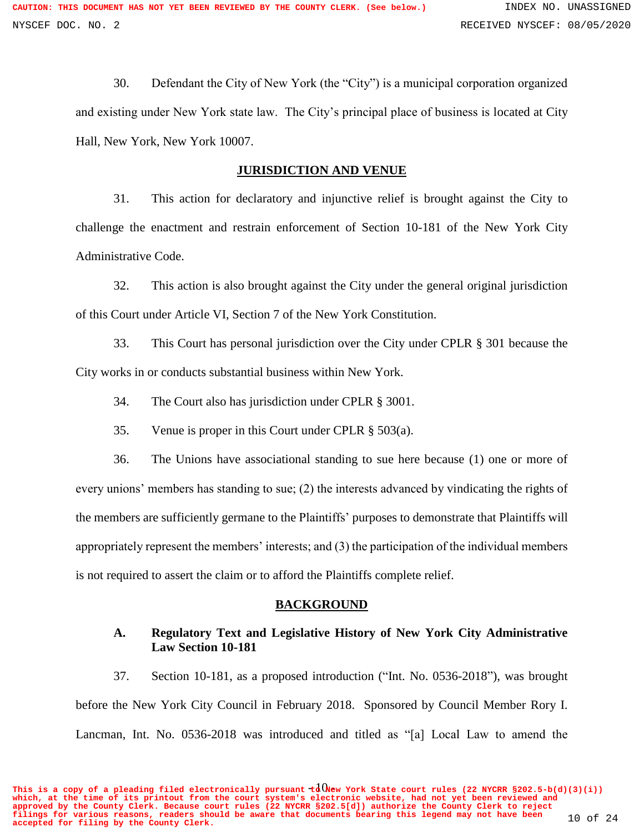30. Defendant the City of New York (the "City") is a municipal corporation organized and existing under New York state law. The City's principal place of business is located at City Hall, New York, New York 10007.

#### **JURISDICTION AND VENUE**

31. This action for declaratory and injunctive relief is brought against the City to challenge the enactment and restrain enforcement of Section 10-181 of the New York City Administrative Code.

32. This action is also brought against the City under the general original jurisdiction of this Court under Article VI, Section 7 of the New York Constitution.

33. This Court has personal jurisdiction over the City under CPLR § 301 because the City works in or conducts substantial business within New York.

- 34. The Court also has jurisdiction under CPLR § 3001.
- 35. Venue is proper in this Court under CPLR § 503(a).

36. The Unions have associational standing to sue here because (1) one or more of every unions' members has standing to sue; (2) the interests advanced by vindicating the rights of the members are sufficiently germane to the Plaintiffs' purposes to demonstrate that Plaintiffs will appropriately represent the members' interests; and (3) the participation of the individual members is not required to assert the claim or to afford the Plaintiffs complete relief.

#### **BACKGROUND**

### **A. Regulatory Text and Legislative History of New York City Administrative Law Section 10-181**

37. Section 10-181, as a proposed introduction ("Int. No. 0536-2018"), was brought before the New York City Council in February 2018. Sponsored by Council Member Rory I. Lancman, Int. No. 0536-2018 was introduced and titled as "[a] Local Law to amend the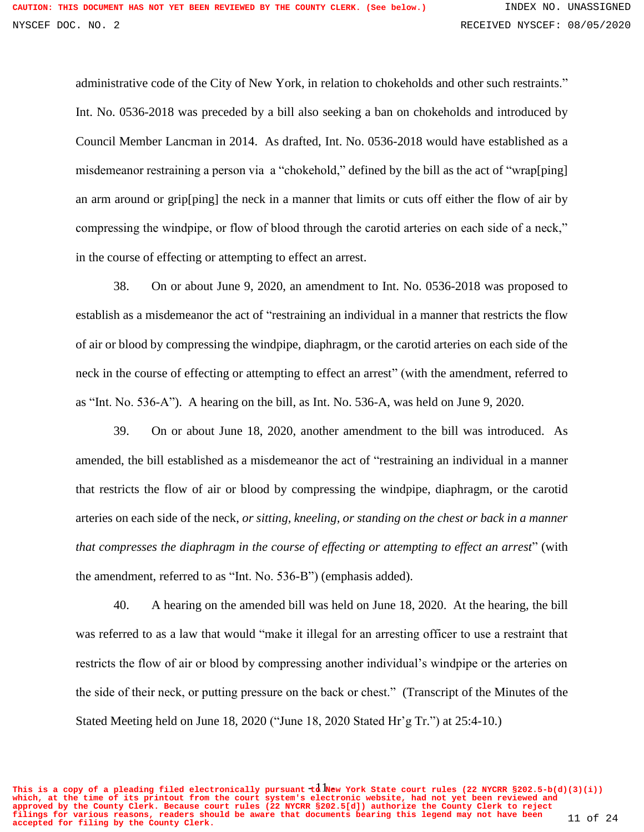administrative code of the City of New York, in relation to chokeholds and other such restraints." Int. No. 0536-2018 was preceded by a bill also seeking a ban on chokeholds and introduced by Council Member Lancman in 2014. As drafted, Int. No. 0536-2018 would have established as a misdemeanor restraining a person via a "chokehold," defined by the bill as the act of "wrap[ping] an arm around or grip[ping] the neck in a manner that limits or cuts off either the flow of air by compressing the windpipe, or flow of blood through the carotid arteries on each side of a neck," in the course of effecting or attempting to effect an arrest.

38. On or about June 9, 2020, an amendment to Int. No. 0536-2018 was proposed to establish as a misdemeanor the act of "restraining an individual in a manner that restricts the flow of air or blood by compressing the windpipe, diaphragm, or the carotid arteries on each side of the neck in the course of effecting or attempting to effect an arrest" (with the amendment, referred to as "Int. No. 536-A"). A hearing on the bill, as Int. No. 536-A, was held on June 9, 2020.

39. On or about June 18, 2020, another amendment to the bill was introduced. As amended, the bill established as a misdemeanor the act of "restraining an individual in a manner that restricts the flow of air or blood by compressing the windpipe, diaphragm, or the carotid arteries on each side of the neck, *or sitting, kneeling, or standing on the chest or back in a manner that compresses the diaphragm in the course of effecting or attempting to effect an arrest*" (with the amendment, referred to as "Int. No. 536-B") (emphasis added).

40. A hearing on the amended bill was held on June 18, 2020. At the hearing, the bill was referred to as a law that would "make it illegal for an arresting officer to use a restraint that restricts the flow of air or blood by compressing another individual's windpipe or the arteries on the side of their neck, or putting pressure on the back or chest." (Transcript of the Minutes of the Stated Meeting held on June 18, 2020 ("June 18, 2020 Stated Hr'g Tr.") at 25:4-10.)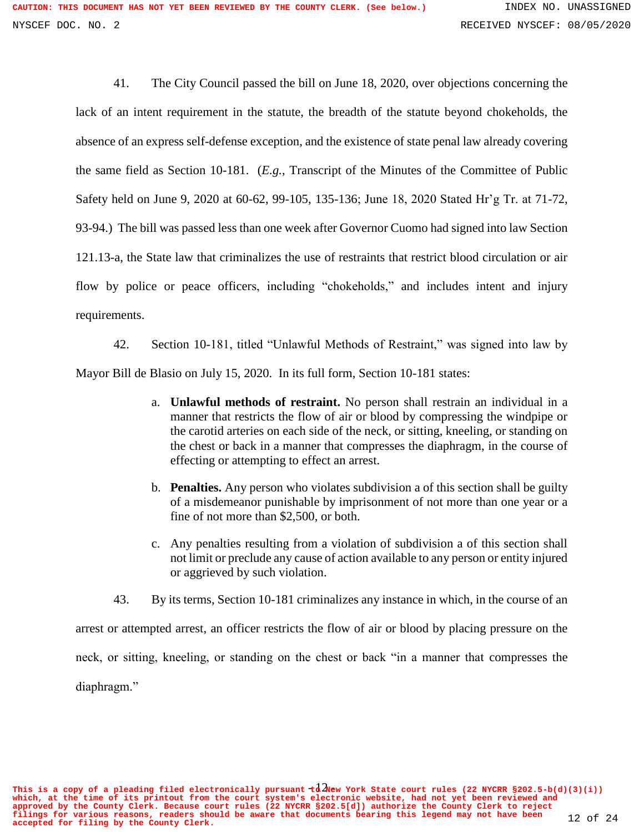41. The City Council passed the bill on June 18, 2020, over objections concerning the lack of an intent requirement in the statute, the breadth of the statute beyond chokeholds, the absence of an express self-defense exception, and the existence of state penal law already covering the same field as Section 10-181. (*E.g.*, Transcript of the Minutes of the Committee of Public Safety held on June 9, 2020 at 60-62, 99-105, 135-136; June 18, 2020 Stated Hr'g Tr. at 71-72, 93-94.) The bill was passed less than one week after Governor Cuomo had signed into law Section 121.13-a, the State law that criminalizes the use of restraints that restrict blood circulation or air flow by police or peace officers, including "chokeholds," and includes intent and injury requirements.

42. Section 10-181, titled "Unlawful Methods of Restraint," was signed into law by Mayor Bill de Blasio on July 15, 2020. In its full form, Section 10-181 states:

- a. **Unlawful methods of restraint.** No person shall restrain an individual in a manner that restricts the flow of air or blood by compressing the windpipe or the carotid arteries on each side of the neck, or sitting, kneeling, or standing on the chest or back in a manner that compresses the diaphragm, in the course of effecting or attempting to effect an arrest.
- b. **Penalties.** Any person who violates subdivision a of this section shall be guilty of a misdemeanor punishable by imprisonment of not more than one year or a fine of not more than \$2,500, or both.
- c. Any penalties resulting from a violation of subdivision a of this section shall not limit or preclude any cause of action available to any person or entity injured or aggrieved by such violation.
- 43. By its terms, Section 10-181 criminalizes any instance in which, in the course of an

arrest or attempted arrest, an officer restricts the flow of air or blood by placing pressure on the neck, or sitting, kneeling, or standing on the chest or back "in a manner that compresses the diaphragm."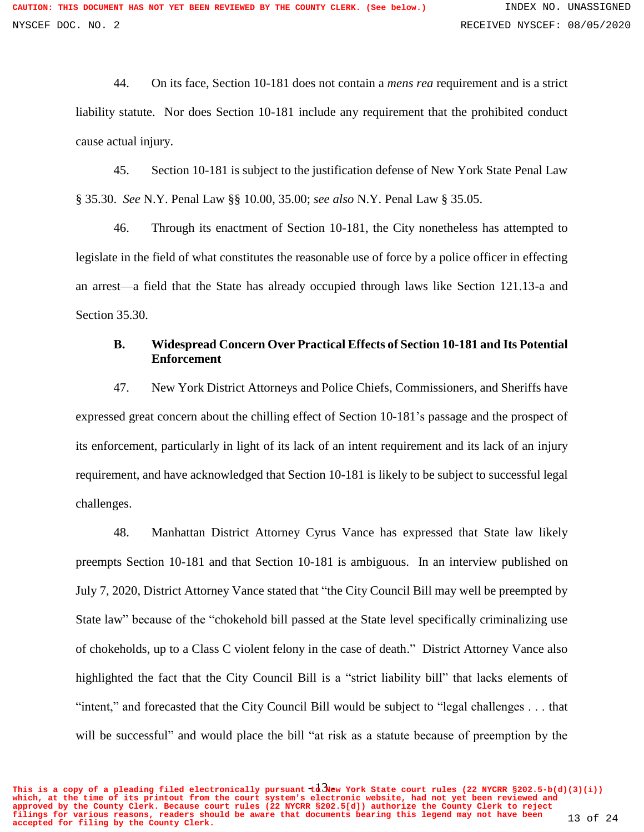44. On its face, Section 10-181 does not contain a *mens rea* requirement and is a strict liability statute. Nor does Section 10-181 include any requirement that the prohibited conduct cause actual injury.

45. Section 10-181 is subject to the justification defense of New York State Penal Law § 35.30. *See* N.Y. Penal Law §§ 10.00, 35.00; *see also* N.Y. Penal Law § 35.05.

46. Through its enactment of Section 10-181, the City nonetheless has attempted to legislate in the field of what constitutes the reasonable use of force by a police officer in effecting an arrest—a field that the State has already occupied through laws like Section 121.13-a and Section 35.30.

### **B. Widespread Concern Over Practical Effects of Section 10-181 and Its Potential Enforcement**

47. New York District Attorneys and Police Chiefs, Commissioners, and Sheriffs have expressed great concern about the chilling effect of Section 10-181's passage and the prospect of its enforcement, particularly in light of its lack of an intent requirement and its lack of an injury requirement, and have acknowledged that Section 10-181 is likely to be subject to successful legal challenges.

48. Manhattan District Attorney Cyrus Vance has expressed that State law likely preempts Section 10-181 and that Section 10-181 is ambiguous. In an interview published on July 7, 2020, District Attorney Vance stated that "the City Council Bill may well be preempted by State law" because of the "chokehold bill passed at the State level specifically criminalizing use of chokeholds, up to a Class C violent felony in the case of death." District Attorney Vance also highlighted the fact that the City Council Bill is a "strict liability bill" that lacks elements of "intent," and forecasted that the City Council Bill would be subject to "legal challenges . . . that will be successful" and would place the bill "at risk as a statute because of preemption by the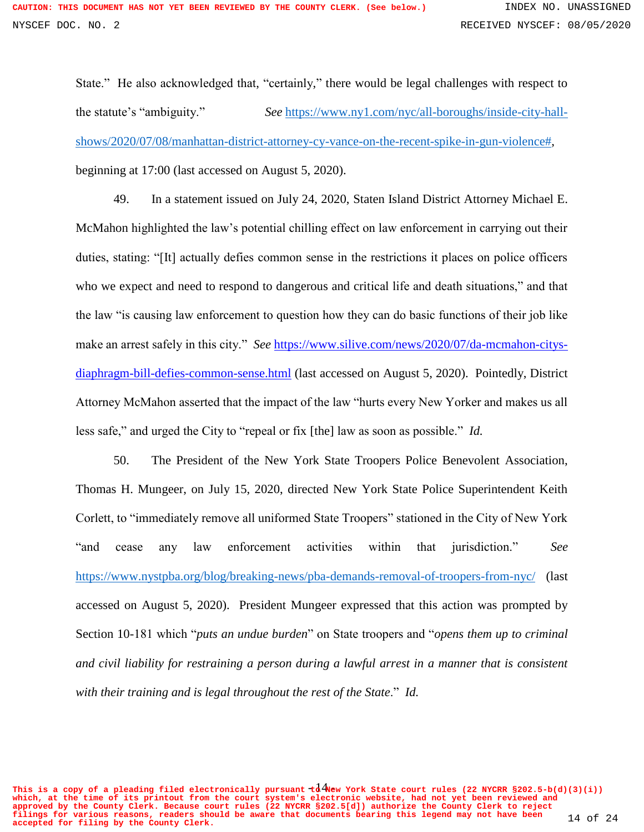State." He also acknowledged that, "certainly," there would be legal challenges with respect to the statute's "ambiguity." *See* [https://www.ny1.com/nyc/all-boroughs/inside-city-hall](https://www.ny1.com/nyc/all-boroughs/inside-city-hall-shows/2020/07/08/manhattan-district-attorney-cy-vance-on-the-recent-spike-in-gun-violence)[shows/2020/07/08/manhattan-district-attorney-cy-vance-on-the-recent-spike-in-gun-violence#,](https://www.ny1.com/nyc/all-boroughs/inside-city-hall-shows/2020/07/08/manhattan-district-attorney-cy-vance-on-the-recent-spike-in-gun-violence) beginning at 17:00 (last accessed on August 5, 2020).

49. In a statement issued on July 24, 2020, Staten Island District Attorney Michael E. McMahon highlighted the law's potential chilling effect on law enforcement in carrying out their duties, stating: "[It] actually defies common sense in the restrictions it places on police officers who we expect and need to respond to dangerous and critical life and death situations," and that the law "is causing law enforcement to question how they can do basic functions of their job like make an arrest safely in this city." *See* [https://www.silive.com/news/2020/07/da-mcmahon-citys](https://www.silive.com/news/2020/07/da-mcmahon-citys-diaphragm-bill-defies-common-sense.html)[diaphragm-bill-defies-common-sense.html](https://www.silive.com/news/2020/07/da-mcmahon-citys-diaphragm-bill-defies-common-sense.html) (last accessed on August 5, 2020).Pointedly, District Attorney McMahon asserted that the impact of the law "hurts every New Yorker and makes us all less safe," and urged the City to "repeal or fix [the] law as soon as possible." *Id.*

50. The President of the New York State Troopers Police Benevolent Association, Thomas H. Mungeer, on July 15, 2020, directed New York State Police Superintendent Keith Corlett, to "immediately remove all uniformed State Troopers" stationed in the City of New York "and cease any law enforcement activities within that jurisdiction." *See*  <https://www.nystpba.org/blog/breaking-news/pba-demands-removal-of-troopers-from-nyc/> (last accessed on August 5, 2020). President Mungeer expressed that this action was prompted by Section 10-181 which "*puts an undue burden*" on State troopers and "*opens them up to criminal and civil liability for restraining a person during a lawful arrest in a manner that is consistent with their training and is legal throughout the rest of the State*." *Id.*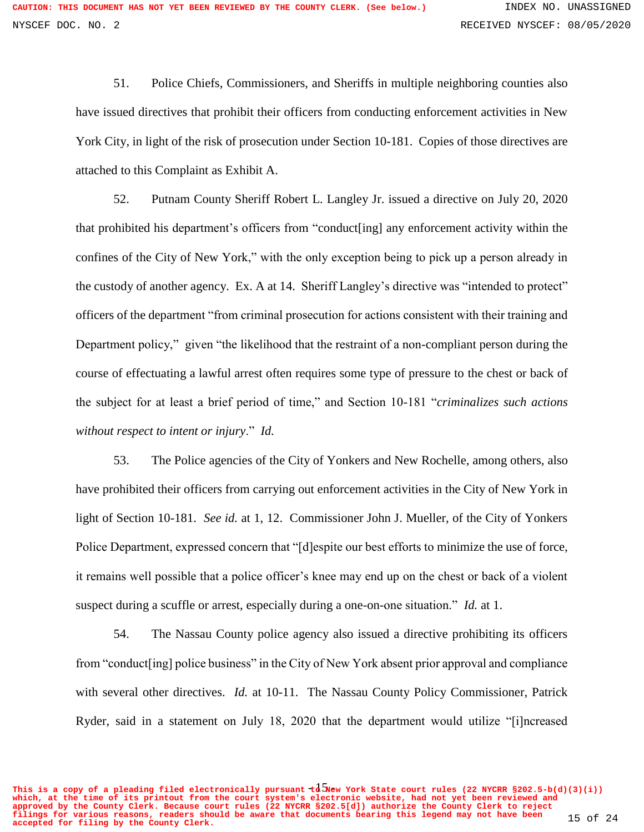51. Police Chiefs, Commissioners, and Sheriffs in multiple neighboring counties also have issued directives that prohibit their officers from conducting enforcement activities in New York City, in light of the risk of prosecution under Section 10-181. Copies of those directives are attached to this Complaint as Exhibit A.

52. Putnam County Sheriff Robert L. Langley Jr. issued a directive on July 20, 2020 that prohibited his department's officers from "conduct[ing] any enforcement activity within the confines of the City of New York," with the only exception being to pick up a person already in the custody of another agency. Ex. A at 14. Sheriff Langley's directive was "intended to protect" officers of the department "from criminal prosecution for actions consistent with their training and Department policy," given "the likelihood that the restraint of a non-compliant person during the course of effectuating a lawful arrest often requires some type of pressure to the chest or back of the subject for at least a brief period of time," and Section 10-181 "*criminalizes such actions without respect to intent or injury*." *Id.*

53. The Police agencies of the City of Yonkers and New Rochelle, among others, also have prohibited their officers from carrying out enforcement activities in the City of New York in light of Section 10-181. *See id.* at 1, 12. Commissioner John J. Mueller, of the City of Yonkers Police Department, expressed concern that "[d]espite our best efforts to minimize the use of force, it remains well possible that a police officer's knee may end up on the chest or back of a violent suspect during a scuffle or arrest, especially during a one-on-one situation." *Id.* at 1.

54. The Nassau County police agency also issued a directive prohibiting its officers from "conduct[ing] police business" in the City of New York absent prior approval and compliance with several other directives. *Id.* at 10-11. The Nassau County Policy Commissioner, Patrick Ryder, said in a statement on July 18, 2020 that the department would utilize "[i]ncreased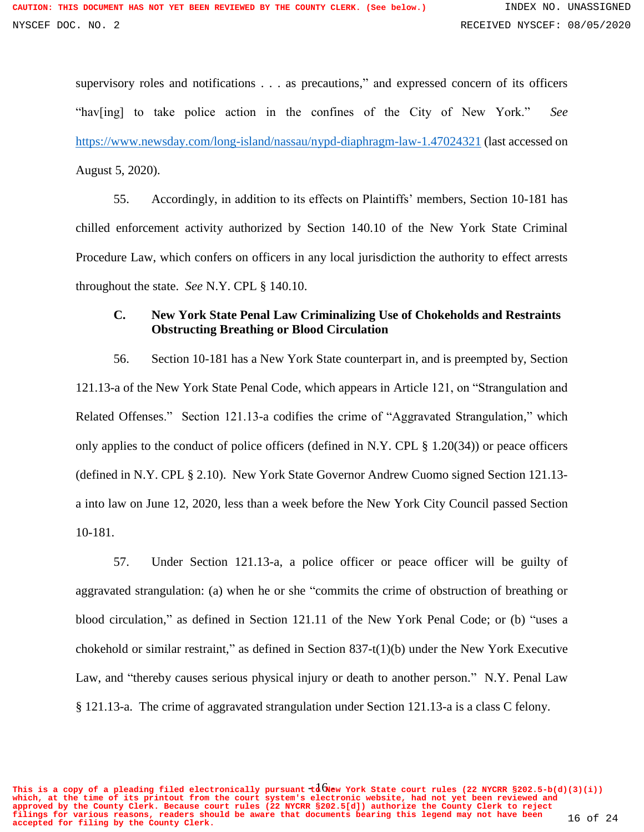supervisory roles and notifications . . . as precautions," and expressed concern of its officers "hav[ing] to take police action in the confines of the City of New York." *See*  <https://www.newsday.com/long-island/nassau/nypd-diaphragm-law-1.47024321> (last accessed on August 5, 2020).

55. Accordingly, in addition to its effects on Plaintiffs' members, Section 10-181 has chilled enforcement activity authorized by Section 140.10 of the New York State Criminal Procedure Law, which confers on officers in any local jurisdiction the authority to effect arrests throughout the state. *See* N.Y. CPL § 140.10.

#### **C. New York State Penal Law Criminalizing Use of Chokeholds and Restraints Obstructing Breathing or Blood Circulation**

56. Section 10-181 has a New York State counterpart in, and is preempted by, Section 121.13-a of the New York State Penal Code, which appears in Article 121, on "Strangulation and Related Offenses." Section 121.13-a codifies the crime of "Aggravated Strangulation," which only applies to the conduct of police officers (defined in N.Y. CPL § 1.20(34)) or peace officers (defined in N.Y. CPL § 2.10). New York State Governor Andrew Cuomo signed Section 121.13 a into law on June 12, 2020, less than a week before the New York City Council passed Section 10-181.

57. Under Section 121.13-a, a police officer or peace officer will be guilty of aggravated strangulation: (a) when he or she "commits the crime of obstruction of breathing or blood circulation," as defined in Section 121.11 of the New York Penal Code; or (b) "uses a chokehold or similar restraint," as defined in Section 837-t(1)(b) under the New York Executive Law, and "thereby causes serious physical injury or death to another person." N.Y. Penal Law § 121.13-a. The crime of aggravated strangulation under Section 121.13-a is a class C felony.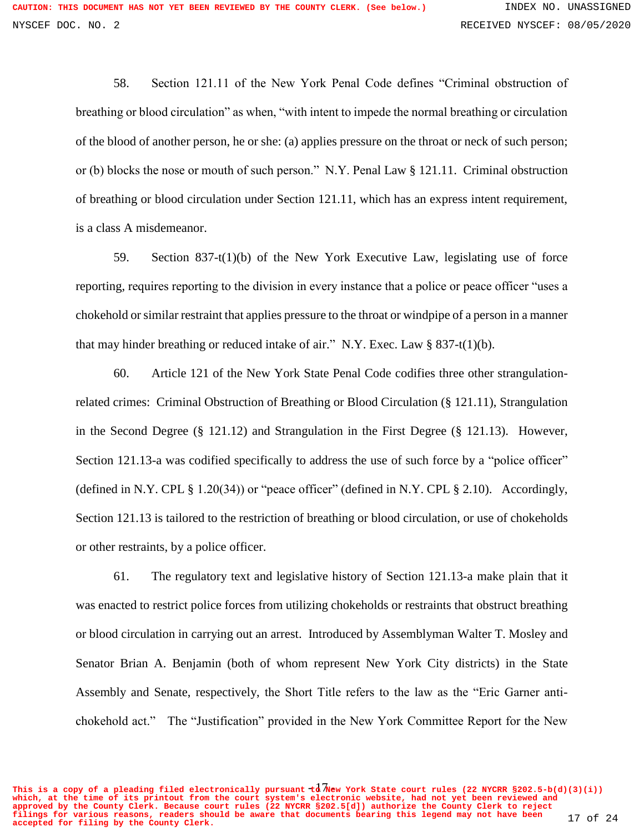58. Section 121.11 of the New York Penal Code defines "Criminal obstruction of breathing or blood circulation" as when, "with intent to impede the normal breathing or circulation of the blood of another person, he or she: (a) applies pressure on the throat or neck of such person; or (b) blocks the nose or mouth of such person." N.Y. Penal Law § 121.11. Criminal obstruction of breathing or blood circulation under Section 121.11, which has an express intent requirement, is a class A misdemeanor.

59. Section 837-t(1)(b) of the New York Executive Law, legislating use of force reporting, requires reporting to the division in every instance that a police or peace officer "uses a chokehold or similar restraint that applies pressure to the throat or windpipe of a person in a manner that may hinder breathing or reduced intake of air." N.Y. Exec. Law § 837-t(1)(b).

60. Article 121 of the New York State Penal Code codifies three other strangulationrelated crimes: Criminal Obstruction of Breathing or Blood Circulation (§ 121.11), Strangulation in the Second Degree (§ 121.12) and Strangulation in the First Degree (§ 121.13). However, Section 121.13-a was codified specifically to address the use of such force by a "police officer" (defined in N.Y. CPL § 1.20(34)) or "peace officer" (defined in N.Y. CPL § 2.10). Accordingly, Section 121.13 is tailored to the restriction of breathing or blood circulation, or use of chokeholds or other restraints, by a police officer.

61. The regulatory text and legislative history of Section 121.13-a make plain that it was enacted to restrict police forces from utilizing chokeholds or restraints that obstruct breathing or blood circulation in carrying out an arrest. Introduced by Assemblyman Walter T. Mosley and Senator Brian A. Benjamin (both of whom represent New York City districts) in the State Assembly and Senate, respectively, the Short Title refers to the law as the "Eric Garner antichokehold act." The "Justification" provided in the New York Committee Report for the New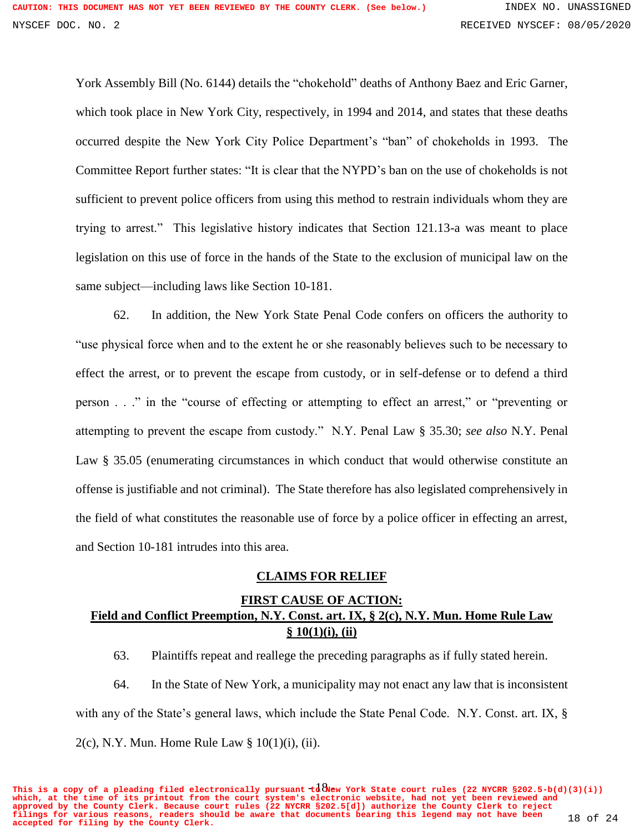York Assembly Bill (No. 6144) details the "chokehold" deaths of Anthony Baez and Eric Garner, which took place in New York City, respectively, in 1994 and 2014, and states that these deaths occurred despite the New York City Police Department's "ban" of chokeholds in 1993. The Committee Report further states: "It is clear that the NYPD's ban on the use of chokeholds is not sufficient to prevent police officers from using this method to restrain individuals whom they are trying to arrest." This legislative history indicates that Section 121.13-a was meant to place legislation on this use of force in the hands of the State to the exclusion of municipal law on the same subject—including laws like Section 10-181.

62. In addition, the New York State Penal Code confers on officers the authority to "use physical force when and to the extent he or she reasonably believes such to be necessary to effect the arrest, or to prevent the escape from custody, or in self-defense or to defend a third person . . ." in the "course of effecting or attempting to effect an arrest," or "preventing or attempting to prevent the escape from custody." N.Y. Penal Law § 35.30; *see also* N.Y. Penal Law § 35.05 (enumerating circumstances in which conduct that would otherwise constitute an offense is justifiable and not criminal). The State therefore has also legislated comprehensively in the field of what constitutes the reasonable use of force by a police officer in effecting an arrest, and Section 10-181 intrudes into this area.

#### **CLAIMS FOR RELIEF**

# **FIRST CAUSE OF ACTION: Field and Conflict Preemption, N.Y. Const. art. IX, § 2(c), N.Y. Mun. Home Rule Law § 10(1)(i), (ii)**

63. Plaintiffs repeat and reallege the preceding paragraphs as if fully stated herein.

64. In the State of New York, a municipality may not enact any law that is inconsistent with any of the State's general laws, which include the State Penal Code. N.Y. Const. art. IX, §  $2(c)$ , N.Y. Mun. Home Rule Law §  $10(1)(i)$ , (ii).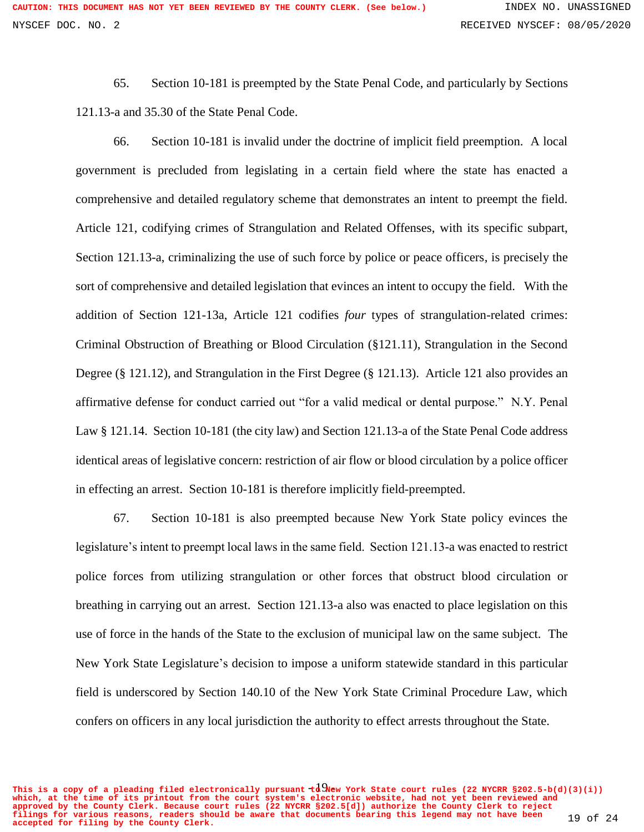65. Section 10-181 is preempted by the State Penal Code, and particularly by Sections 121.13-a and 35.30 of the State Penal Code.

66. Section 10-181 is invalid under the doctrine of implicit field preemption. A local government is precluded from legislating in a certain field where the state has enacted a comprehensive and detailed regulatory scheme that demonstrates an intent to preempt the field. Article 121, codifying crimes of Strangulation and Related Offenses, with its specific subpart, Section 121.13-a, criminalizing the use of such force by police or peace officers, is precisely the sort of comprehensive and detailed legislation that evinces an intent to occupy the field. With the addition of Section 121-13a, Article 121 codifies *four* types of strangulation-related crimes: Criminal Obstruction of Breathing or Blood Circulation (§121.11), Strangulation in the Second Degree (§ 121.12), and Strangulation in the First Degree (§ 121.13). Article 121 also provides an affirmative defense for conduct carried out "for a valid medical or dental purpose." N.Y. Penal Law § 121.14. Section 10-181 (the city law) and Section 121.13-a of the State Penal Code address identical areas of legislative concern: restriction of air flow or blood circulation by a police officer in effecting an arrest. Section 10-181 is therefore implicitly field-preempted.

67. Section 10-181 is also preempted because New York State policy evinces the legislature's intent to preempt local laws in the same field. Section 121.13-a was enacted to restrict police forces from utilizing strangulation or other forces that obstruct blood circulation or breathing in carrying out an arrest. Section 121.13-a also was enacted to place legislation on this use of force in the hands of the State to the exclusion of municipal law on the same subject. The New York State Legislature's decision to impose a uniform statewide standard in this particular field is underscored by Section 140.10 of the New York State Criminal Procedure Law, which confers on officers in any local jurisdiction the authority to effect arrests throughout the State.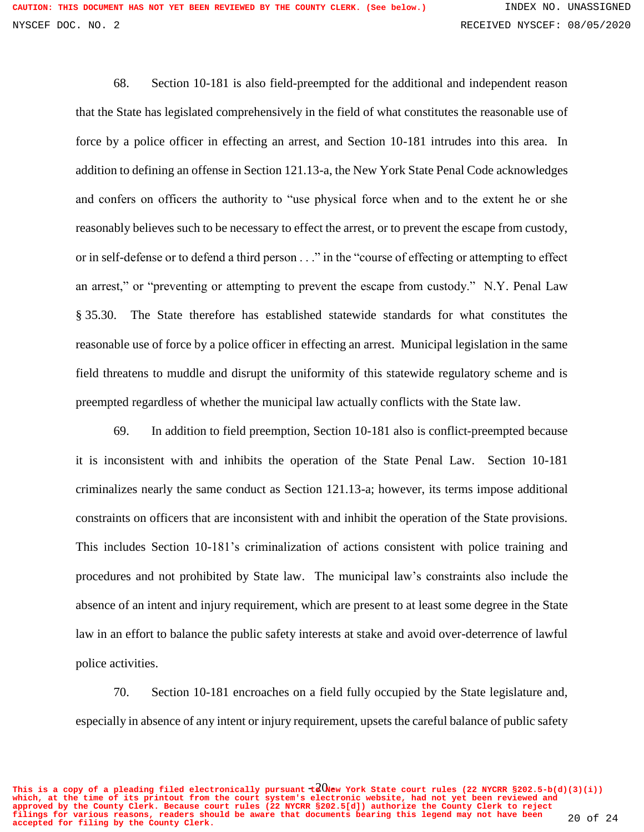68. Section 10-181 is also field-preempted for the additional and independent reason that the State has legislated comprehensively in the field of what constitutes the reasonable use of force by a police officer in effecting an arrest, and Section 10-181 intrudes into this area. In addition to defining an offense in Section 121.13-a, the New York State Penal Code acknowledges and confers on officers the authority to "use physical force when and to the extent he or she reasonably believes such to be necessary to effect the arrest, or to prevent the escape from custody, or in self-defense or to defend a third person . . ." in the "course of effecting or attempting to effect an arrest," or "preventing or attempting to prevent the escape from custody." N.Y. Penal Law § 35.30. The State therefore has established statewide standards for what constitutes the reasonable use of force by a police officer in effecting an arrest. Municipal legislation in the same field threatens to muddle and disrupt the uniformity of this statewide regulatory scheme and is preempted regardless of whether the municipal law actually conflicts with the State law.

69. In addition to field preemption, Section 10-181 also is conflict-preempted because it is inconsistent with and inhibits the operation of the State Penal Law. Section 10-181 criminalizes nearly the same conduct as Section 121.13-a; however, its terms impose additional constraints on officers that are inconsistent with and inhibit the operation of the State provisions. This includes Section 10-181's criminalization of actions consistent with police training and procedures and not prohibited by State law. The municipal law's constraints also include the absence of an intent and injury requirement, which are present to at least some degree in the State law in an effort to balance the public safety interests at stake and avoid over-deterrence of lawful police activities.

70. Section 10-181 encroaches on a field fully occupied by the State legislature and, especially in absence of any intent or injury requirement, upsets the careful balance of public safety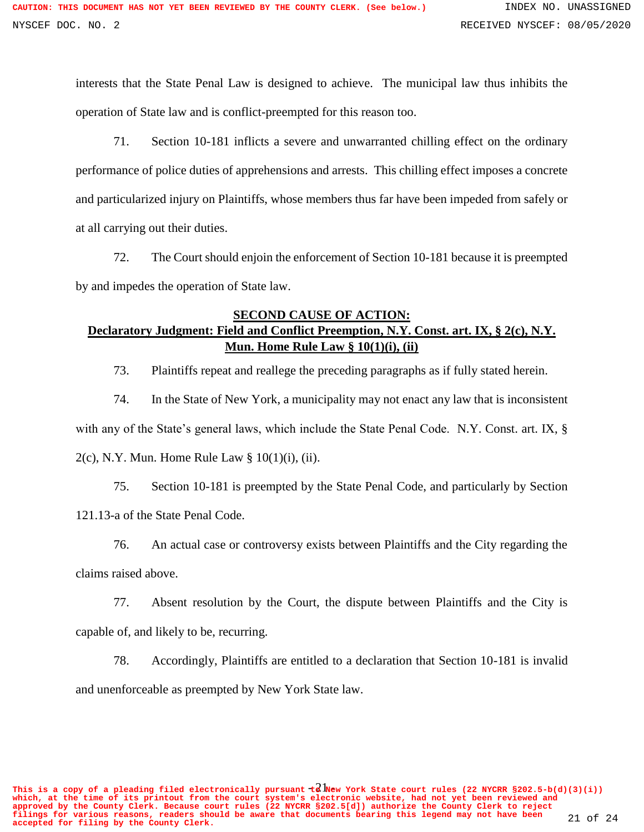interests that the State Penal Law is designed to achieve. The municipal law thus inhibits the operation of State law and is conflict-preempted for this reason too.

71. Section 10-181 inflicts a severe and unwarranted chilling effect on the ordinary performance of police duties of apprehensions and arrests. This chilling effect imposes a concrete and particularized injury on Plaintiffs, whose members thus far have been impeded from safely or at all carrying out their duties.

72. The Court should enjoin the enforcement of Section 10-181 because it is preempted by and impedes the operation of State law.

## **SECOND CAUSE OF ACTION: Declaratory Judgment: Field and Conflict Preemption, N.Y. Const. art. IX, § 2(c), N.Y. Mun. Home Rule Law § 10(1)(i), (ii)**

73. Plaintiffs repeat and reallege the preceding paragraphs as if fully stated herein.

74. In the State of New York, a municipality may not enact any law that is inconsistent with any of the State's general laws, which include the State Penal Code. N.Y. Const. art. IX, §  $2(c)$ , N.Y. Mun. Home Rule Law §  $10(1)(i)$ , (ii).

75. Section 10-181 is preempted by the State Penal Code, and particularly by Section 121.13-a of the State Penal Code.

76. An actual case or controversy exists between Plaintiffs and the City regarding the claims raised above.

77. Absent resolution by the Court, the dispute between Plaintiffs and the City is capable of, and likely to be, recurring.

78. Accordingly, Plaintiffs are entitled to a declaration that Section 10-181 is invalid and unenforceable as preempted by New York State law.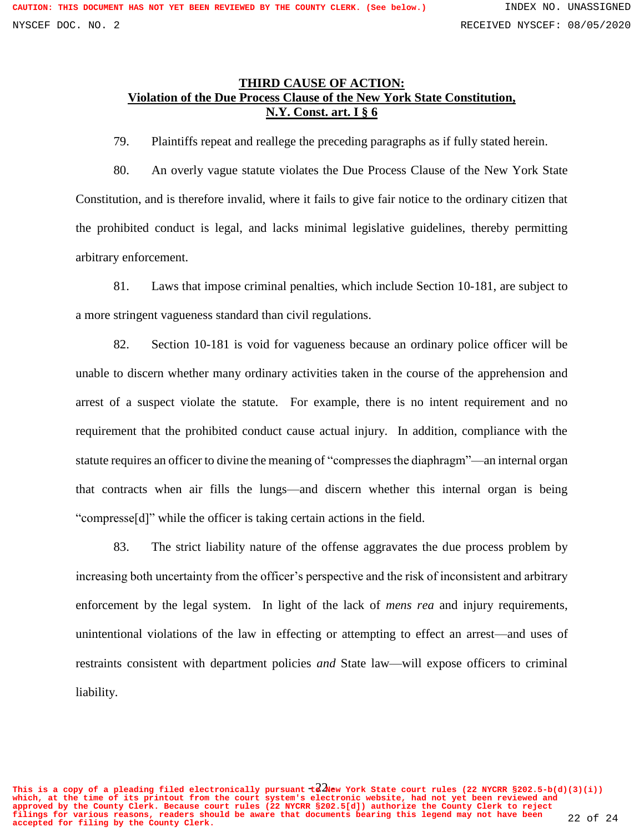#### **THIRD CAUSE OF ACTION: Violation of the Due Process Clause of the New York State Constitution, N.Y. Const. art. I § 6**

79. Plaintiffs repeat and reallege the preceding paragraphs as if fully stated herein.

80. An overly vague statute violates the Due Process Clause of the New York State Constitution, and is therefore invalid, where it fails to give fair notice to the ordinary citizen that the prohibited conduct is legal, and lacks minimal legislative guidelines, thereby permitting arbitrary enforcement.

81. Laws that impose criminal penalties, which include Section 10-181, are subject to a more stringent vagueness standard than civil regulations.

82. Section 10-181 is void for vagueness because an ordinary police officer will be unable to discern whether many ordinary activities taken in the course of the apprehension and arrest of a suspect violate the statute. For example, there is no intent requirement and no requirement that the prohibited conduct cause actual injury. In addition, compliance with the statute requires an officer to divine the meaning of "compressesthe diaphragm"—an internal organ that contracts when air fills the lungs—and discern whether this internal organ is being "compresse[d]" while the officer is taking certain actions in the field.

83. The strict liability nature of the offense aggravates the due process problem by increasing both uncertainty from the officer's perspective and the risk of inconsistent and arbitrary enforcement by the legal system. In light of the lack of *mens rea* and injury requirements, unintentional violations of the law in effecting or attempting to effect an arrest—and uses of restraints consistent with department policies *and* State law—will expose officers to criminal liability.

This is a copy of a pleading filed electronically pursuant  $t^2$  Wew York State court rules (22 NYCRR §202.5-b(d)(3)(i)) **which, at the time of its printout from the court system's electronic website, had not yet been reviewed and approved by the County Clerk. Because court rules (22 NYCRR §202.5[d]) authorize the County Clerk to reject filings for various reasons, readers should be aware that documents bearing this legend may not have been accepted for filing by the County Clerk.** 22 of 24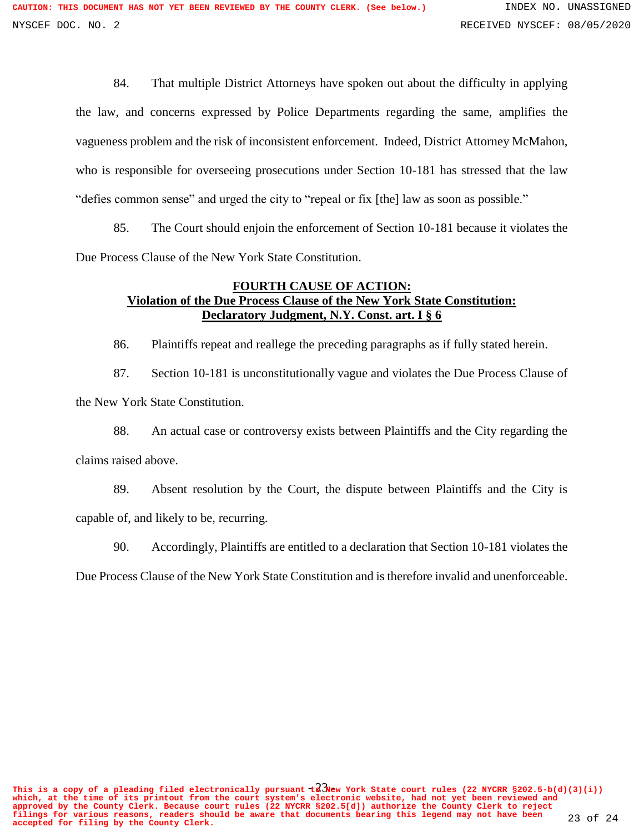84. That multiple District Attorneys have spoken out about the difficulty in applying the law, and concerns expressed by Police Departments regarding the same, amplifies the vagueness problem and the risk of inconsistent enforcement. Indeed, District Attorney McMahon, who is responsible for overseeing prosecutions under Section 10-181 has stressed that the law "defies common sense" and urged the city to "repeal or fix [the] law as soon as possible."

85. The Court should enjoin the enforcement of Section 10-181 because it violates the Due Process Clause of the New York State Constitution.

## **FOURTH CAUSE OF ACTION: Violation of the Due Process Clause of the New York State Constitution: Declaratory Judgment, N.Y. Const. art. I § 6**

86. Plaintiffs repeat and reallege the preceding paragraphs as if fully stated herein.

87. Section 10-181 is unconstitutionally vague and violates the Due Process Clause of the New York State Constitution.

88. An actual case or controversy exists between Plaintiffs and the City regarding the claims raised above.

89. Absent resolution by the Court, the dispute between Plaintiffs and the City is capable of, and likely to be, recurring.

90. Accordingly, Plaintiffs are entitled to a declaration that Section 10-181 violates the

Due Process Clause of the New York State Constitution and is therefore invalid and unenforceable.